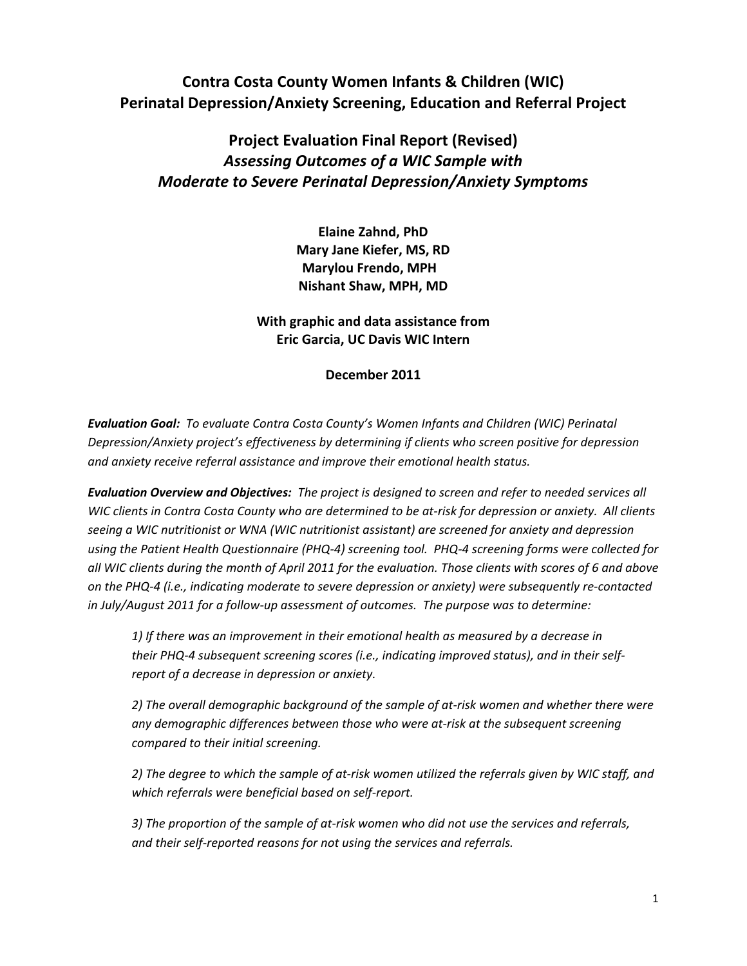# **Contra Costa County Women Infants & Children (WIC) Perinatal Depression/Anxiety Screening, Education and Referral Project**

# **Project Evaluation Final Report (Revised)** *Assessing Outcomes of a WIC Sample with Moderate to Severe Perinatal Depression/Anxiety Symptoms*

**Elaine Zahnd, PhD Mary Jane Kiefer, MS, RD Marylou Frendo, MPH Nishant Shaw, MPH, MD**

**With graphic and data assistance from Eric Garcia, UC Davis WIC Intern**

**December 2011**

*Evaluation Goal: To evaluate Contra Costa County's Women Infants and Children (WIC) Perinatal Depression/Anxiety project's effectiveness by determining if clients who screen positive for depression and anxiety receive referral assistance and improve their emotional health status.* 

*Evaluation Overview and Objectives: The project is designed to screen and refer to needed services all* WIC clients in Contra Costa County who are determined to be at-risk for depression or anxiety. All clients *seeing a WIC nutritionist or WNA (WIC nutritionist assistant) are screened for anxiety and depression* using the Patient Health Questionnaire (PHQ-4) screening tool. PHQ-4 screening forms were collected for all WIC clients during the month of April 2011 for the evaluation. Those clients with scores of 6 and above on the PHQ-4 (i.e., indicating moderate to severe depression or anxiety) were subsequently re-contacted *in July/August 2011 for a follow‐up assessment of outcomes. The purpose was to determine:* 

*1) If there was an improvement in their emotional health as measured by a decrease in their PHQ‐4 subsequent screening scores (i.e., indicating improved status), and in their self‐ report of a decrease in depression or anxiety.*

*2) The overall demographic background of the sample of at‐risk women and whether there were any demographic differences between those who were at‐risk at the subsequent screening compared to their initial screening.*

2) The degree to which the sample of at-risk women utilized the referrals given by WIC staff, and *which referrals were beneficial based on self‐report.* 

3) The proportion of the sample of at-risk women who did not use the services and referrals, *and their self‐reported reasons for not using the services and referrals.*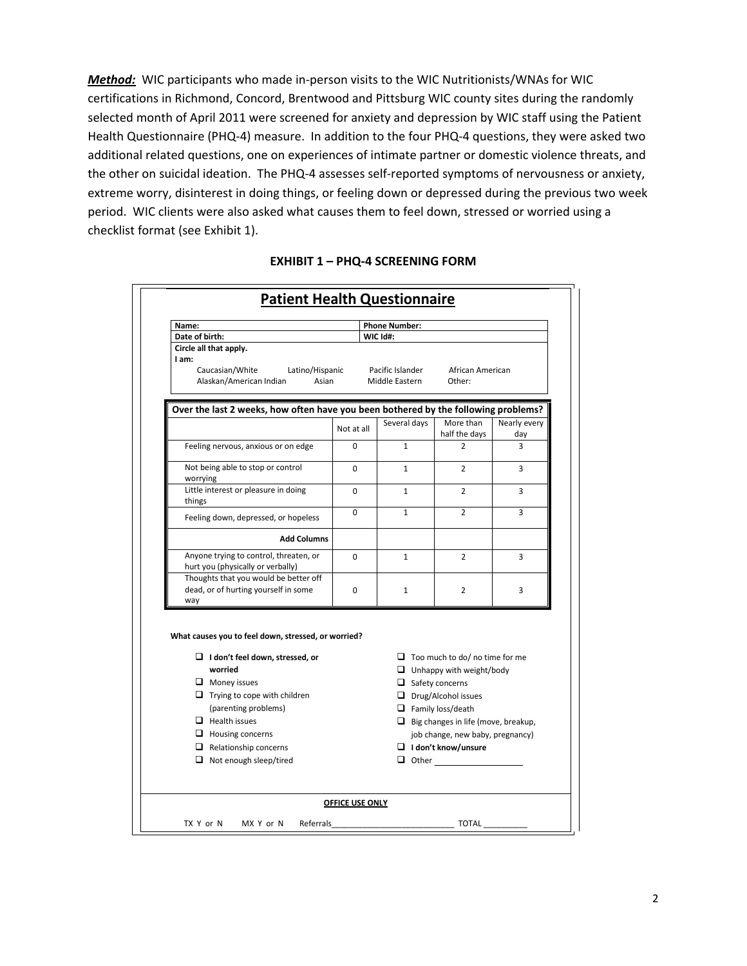*Method:* WIC participants who made in-person visits to the WIC Nutritionists/WNAs for WIC certifications in Richmond, Concord, Brentwood and Pittsburg WIC county sites during the randomly selected month of April 2011 were screened for anxiety and depression by WIC staff using the Patient Health Questionnaire (PHQ-4) measure. In addition to the four PHQ-4 questions, they were asked two additional related questions, one on experiences of intimate partner or domestic violence threats, and the other on suicidal ideation. The PHQ‐4 assesses self‐reported symptoms of nervousness or anxiety, extreme worry, disinterest in doing things, or feeling down or depressed during the previous two week period. WIC clients were also asked what causes them to feel down, stressed or worried using a checklist format (see Exhibit 1).

| Name:                                                                                                    |            | <b>Phone Number:</b>   |                                                                          |              |
|----------------------------------------------------------------------------------------------------------|------------|------------------------|--------------------------------------------------------------------------|--------------|
| Date of birth:                                                                                           |            | WIC Id#:               |                                                                          |              |
| Circle all that apply.                                                                                   |            |                        |                                                                          |              |
| I am:<br>Caucasian/White<br>Latino/Hispanic                                                              |            | Pacific Islander       | African American                                                         |              |
| Alaskan/American Indian<br>Asian                                                                         |            | Middle Eastern         | Other:                                                                   |              |
|                                                                                                          |            |                        |                                                                          |              |
| Over the last 2 weeks, how often have you been bothered by the following problems?                       |            |                        |                                                                          |              |
|                                                                                                          |            | Several days           | More than                                                                | Nearly every |
|                                                                                                          | Not at all |                        | half the days                                                            | day          |
| Feeling nervous, anxious or on edge                                                                      | $\Omega$   | $\mathbf{1}$           | 2                                                                        | 3            |
| Not being able to stop or control<br>worrying                                                            | 0          | $\mathbf{1}$           | $\overline{2}$                                                           | 3            |
| Little interest or pleasure in doing<br>things                                                           | $\Omega$   | $\mathbf{1}$           | $\overline{2}$                                                           | 3            |
| Feeling down, depressed, or hopeless                                                                     | 0          | $\mathbf{1}$           | $\overline{2}$                                                           | 3            |
| <b>Add Columns</b>                                                                                       |            |                        |                                                                          |              |
| Anyone trying to control, threaten, or                                                                   | 0          | $\mathbf{1}$           | $\overline{2}$                                                           | 3            |
| hurt you (physically or verbally)<br>Thoughts that you would be better off                               |            |                        |                                                                          |              |
| dead, or of hurting yourself in some                                                                     | 0          |                        | $\overline{2}$                                                           | 3            |
| way                                                                                                      |            | $\mathbf{1}$           |                                                                          |              |
| What causes you to feel down, stressed, or worried?<br>$\Box$ I don't feel down, stressed, or<br>worried |            |                        | $\Box$ Too much to do/ no time for me<br>$\Box$ Unhappy with weight/body |              |
| $\Box$ Money issues                                                                                      |            | $\Box$ Safety concerns |                                                                          |              |
| $\Box$ Trying to cope with children                                                                      |            |                        | $\Box$ Drug/Alcohol issues                                               |              |
| (parenting problems)                                                                                     |            |                        | $\Box$ Family loss/death                                                 |              |
| $\Box$ Health issues                                                                                     |            |                        | $\Box$ Big changes in life (move, breakup,                               |              |
| $\Box$ Housing concerns                                                                                  |            |                        | job change, new baby, pregnancy)                                         |              |
| $\Box$ Relationship concerns                                                                             |            |                        | $\Box$ I don't know/unsure                                               |              |
| $\Box$ Not enough sleep/tired                                                                            |            |                        |                                                                          |              |
|                                                                                                          |            |                        |                                                                          |              |

#### **EXHIBIT 1 – PHQ‐4 SCREENING FORM**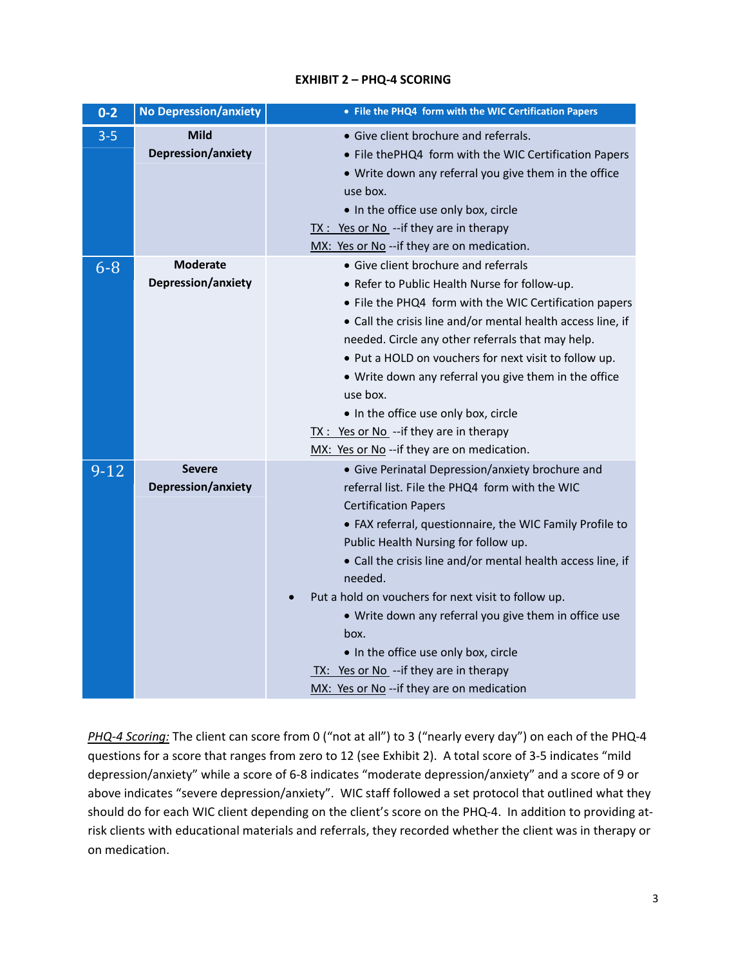| $0 - 2$ | <b>No Depression/anxiety</b>          | • File the PHQ4 form with the WIC Certification Papers                                                                                                                                                                                                                                                                                                                                                                                                                                                                                                                   |
|---------|---------------------------------------|--------------------------------------------------------------------------------------------------------------------------------------------------------------------------------------------------------------------------------------------------------------------------------------------------------------------------------------------------------------------------------------------------------------------------------------------------------------------------------------------------------------------------------------------------------------------------|
| $3 - 5$ | <b>Mild</b><br>Depression/anxiety     | • Give client brochure and referrals.<br>• File thePHQ4 form with the WIC Certification Papers<br>• Write down any referral you give them in the office<br>use box.<br>. In the office use only box, circle<br>$TX: Yes or No$ --if they are in therapy<br>MX: Yes or No -- if they are on medication.                                                                                                                                                                                                                                                                   |
| $6 - 8$ | <b>Moderate</b><br>Depression/anxiety | • Give client brochure and referrals<br>• Refer to Public Health Nurse for follow-up.<br>• File the PHQ4 form with the WIC Certification papers<br>• Call the crisis line and/or mental health access line, if<br>needed. Circle any other referrals that may help.<br>• Put a HOLD on vouchers for next visit to follow up.<br>• Write down any referral you give them in the office<br>use box.<br>. In the office use only box, circle<br>TX : Yes or No --if they are in therapy<br>MX: Yes or No -- if they are on medication.                                      |
| $9-12$  | <b>Severe</b><br>Depression/anxiety   | • Give Perinatal Depression/anxiety brochure and<br>referral list. File the PHQ4 form with the WIC<br><b>Certification Papers</b><br>• FAX referral, questionnaire, the WIC Family Profile to<br>Public Health Nursing for follow up.<br>• Call the crisis line and/or mental health access line, if<br>needed.<br>Put a hold on vouchers for next visit to follow up.<br>• Write down any referral you give them in office use<br>box.<br>. In the office use only box, circle<br>TX: Yes or No -- if they are in therapy<br>MX: Yes or No -- if they are on medication |

*PHQ‐4 Scoring:* The client can score from 0 ("not at all") to 3 ("nearly every day") on each of the PHQ‐4 questions for a score that ranges from zero to 12 (see Exhibit 2). A total score of 3‐5 indicates "mild depression/anxiety" while a score of 6‐8 indicates "moderate depression/anxiety" and a score of 9 or above indicates "severe depression/anxiety". WIC staff followed a set protocol that outlined what they should do for each WIC client depending on the client's score on the PHQ-4. In addition to providing atrisk clients with educational materials and referrals, they recorded whether the client was in therapy or on medication.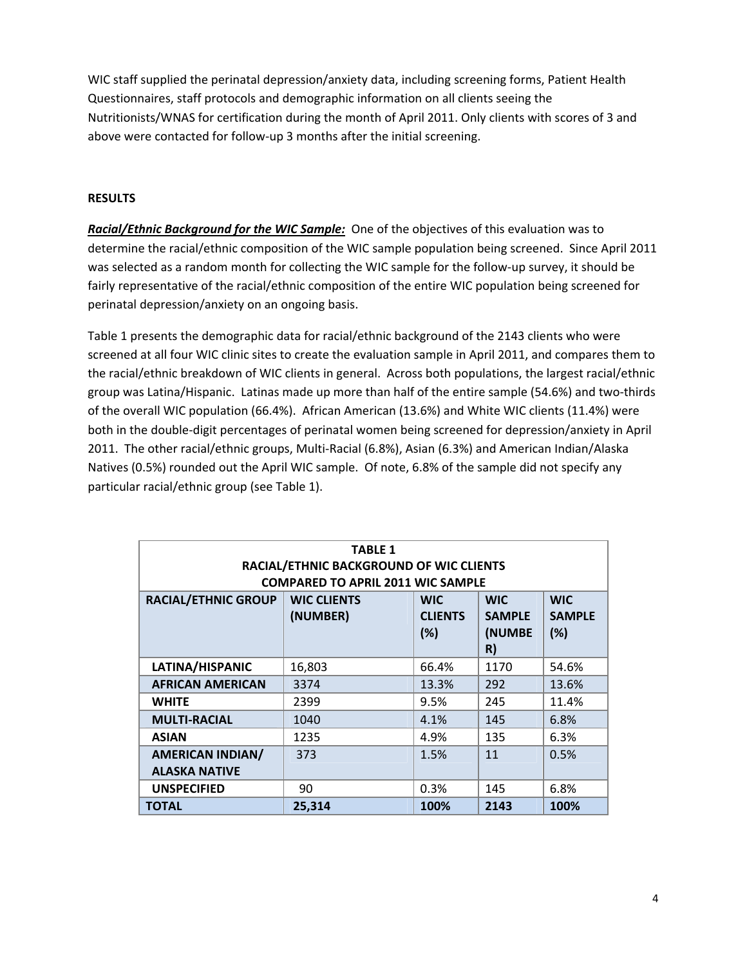WIC staff supplied the perinatal depression/anxiety data, including screening forms, Patient Health Questionnaires, staff protocols and demographic information on all clients seeing the Nutritionists/WNAS for certification during the month of April 2011. Only clients with scores of 3 and above were contacted for follow‐up 3 months after the initial screening.

#### **RESULTS**

*Racial/Ethnic Background for the WIC Sample:* One of the objectives of this evaluation was to determine the racial/ethnic composition of the WIC sample population being screened. Since April 2011 was selected as a random month for collecting the WIC sample for the follow-up survey, it should be fairly representative of the racial/ethnic composition of the entire WIC population being screened for perinatal depression/anxiety on an ongoing basis.

Table 1 presents the demographic data for racial/ethnic background of the 2143 clients who were screened at all four WIC clinic sites to create the evaluation sample in April 2011, and compares them to the racial/ethnic breakdown of WIC clients in general. Across both populations, the largest racial/ethnic group was Latina/Hispanic. Latinas made up more than half of the entire sample (54.6%) and two‐thirds of the overall WIC population (66.4%). African American (13.6%) and White WIC clients (11.4%) were both in the double‐digit percentages of perinatal women being screened for depression/anxiety in April 2011. The other racial/ethnic groups, Multi‐Racial (6.8%), Asian (6.3%) and American Indian/Alaska Natives (0.5%) rounded out the April WIC sample. Of note, 6.8% of the sample did not specify any particular racial/ethnic group (see Table 1).

| <b>TABLE 1</b><br>RACIAL/ETHNIC BACKGROUND OF WIC CLIENTS<br><b>COMPARED TO APRIL 2011 WIC SAMPLE</b> |                                |                                     |                                             |                                    |  |
|-------------------------------------------------------------------------------------------------------|--------------------------------|-------------------------------------|---------------------------------------------|------------------------------------|--|
| <b>RACIAL/ETHNIC GROUP</b>                                                                            | <b>WIC CLIENTS</b><br>(NUMBER) | <b>WIC</b><br><b>CLIENTS</b><br>(%) | <b>WIC</b><br><b>SAMPLE</b><br>(NUMBE<br>R) | <b>WIC</b><br><b>SAMPLE</b><br>(%) |  |
| LATINA/HISPANIC                                                                                       | 16,803                         | 66.4%                               | 1170                                        | 54.6%                              |  |
| <b>AFRICAN AMERICAN</b>                                                                               | 3374                           | 13.3%                               | 292                                         | 13.6%                              |  |
| <b>WHITE</b>                                                                                          | 2399                           | 9.5%                                | 245                                         | 11.4%                              |  |
| <b>MULTI-RACIAL</b>                                                                                   | 1040                           | 4.1%                                | 145                                         | 6.8%                               |  |
| <b>ASIAN</b>                                                                                          | 1235                           | 4.9%                                | 135                                         | 6.3%                               |  |
| <b>AMERICAN INDIAN/</b><br><b>ALASKA NATIVE</b>                                                       | 373                            | 1.5%                                | 11                                          | 0.5%                               |  |
| <b>UNSPECIFIED</b>                                                                                    | 90                             | 0.3%                                | 145                                         | 6.8%                               |  |
| <b>TOTAL</b>                                                                                          | 25,314                         | 100%                                | 2143                                        | 100%                               |  |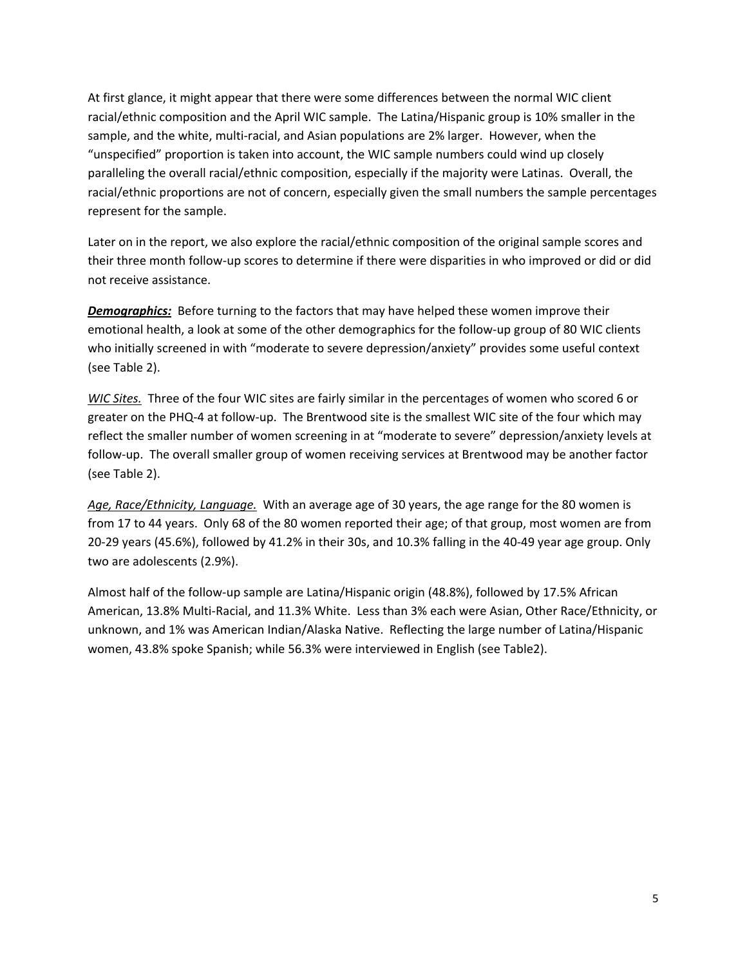At first glance, it might appear that there were some differences between the normal WIC client racial/ethnic composition and the April WIC sample. The Latina/Hispanic group is 10% smaller in the sample, and the white, multi-racial, and Asian populations are 2% larger. However, when the "unspecified" proportion is taken into account, the WIC sample numbers could wind up closely paralleling the overall racial/ethnic composition, especially if the majority were Latinas. Overall, the racial/ethnic proportions are not of concern, especially given the small numbers the sample percentages represent for the sample.

Later on in the report, we also explore the racial/ethnic composition of the original sample scores and their three month follow‐up scores to determine if there were disparities in who improved or did or did not receive assistance.

**Demographics:** Before turning to the factors that may have helped these women improve their emotional health, a look at some of the other demographics for the follow-up group of 80 WIC clients who initially screened in with "moderate to severe depression/anxiety" provides some useful context (see Table 2).

*WIC Sites.* Three of the four WIC sites are fairly similar in the percentages of women who scored 6 or greater on the PHQ‐4 at follow‐up. The Brentwood site is the smallest WIC site of the four which may reflect the smaller number of women screening in at "moderate to severe" depression/anxiety levels at follow‐up. The overall smaller group of women receiving services at Brentwood may be another factor (see Table 2).

*Age, Race/Ethnicity, Language.* With an average age of 30 years, the age range for the 80 women is from 17 to 44 years. Only 68 of the 80 women reported their age; of that group, most women are from 20‐29 years (45.6%), followed by 41.2% in their 30s, and 10.3% falling in the 40‐49 year age group. Only two are adolescents (2.9%).

Almost half of the follow‐up sample are Latina/Hispanic origin (48.8%), followed by 17.5% African American, 13.8% Multi‐Racial, and 11.3% White. Less than 3% each were Asian, Other Race/Ethnicity, or unknown, and 1% was American Indian/Alaska Native. Reflecting the large number of Latina/Hispanic women, 43.8% spoke Spanish; while 56.3% were interviewed in English (see Table2).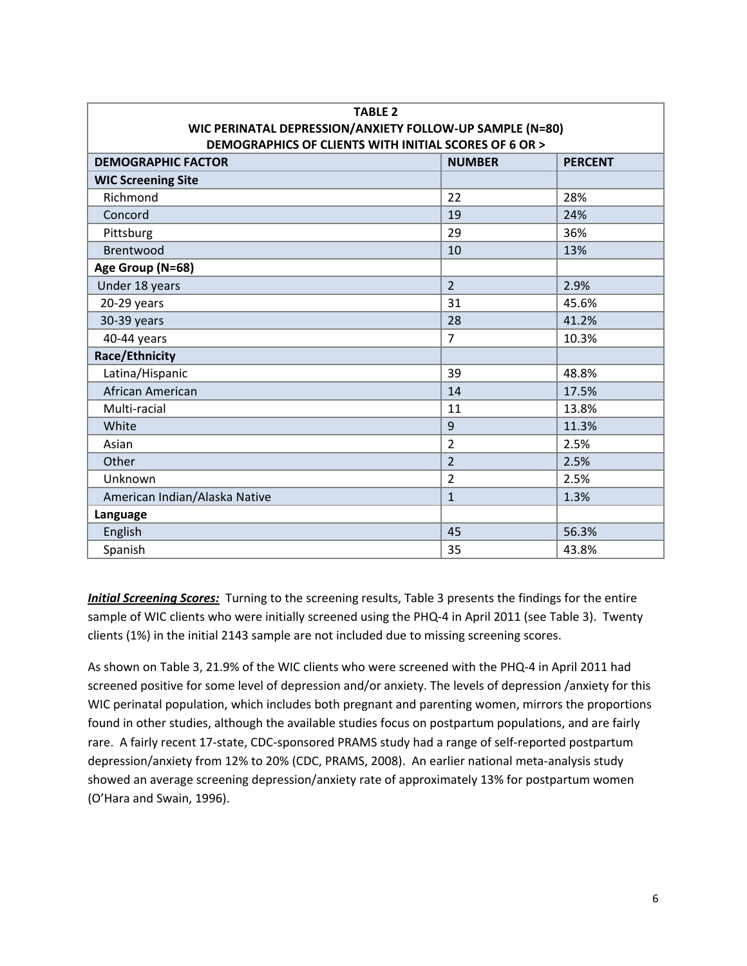| <b>TABLE 2</b>                                           |                |                |  |  |  |
|----------------------------------------------------------|----------------|----------------|--|--|--|
| WIC PERINATAL DEPRESSION/ANXIETY FOLLOW-UP SAMPLE (N=80) |                |                |  |  |  |
| DEMOGRAPHICS OF CLIENTS WITH INITIAL SCORES OF 6 OR >    |                |                |  |  |  |
| <b>DEMOGRAPHIC FACTOR</b>                                | <b>NUMBER</b>  | <b>PERCENT</b> |  |  |  |
| <b>WIC Screening Site</b>                                |                |                |  |  |  |
| Richmond                                                 | 22             | 28%            |  |  |  |
| Concord                                                  | 19             | 24%            |  |  |  |
| Pittsburg                                                | 29             | 36%            |  |  |  |
| <b>Brentwood</b>                                         | 10             | 13%            |  |  |  |
| Age Group (N=68)                                         |                |                |  |  |  |
| Under 18 years                                           | $\overline{2}$ | 2.9%           |  |  |  |
| 20-29 years                                              | 31             | 45.6%          |  |  |  |
| 30-39 years                                              | 28             | 41.2%          |  |  |  |
| 40-44 years                                              | $\overline{7}$ | 10.3%          |  |  |  |
| <b>Race/Ethnicity</b>                                    |                |                |  |  |  |
| Latina/Hispanic                                          | 39             | 48.8%          |  |  |  |
| African American                                         | 14             | 17.5%          |  |  |  |
| Multi-racial                                             | 11             | 13.8%          |  |  |  |
| White                                                    | 9              | 11.3%          |  |  |  |
| Asian                                                    | $\overline{2}$ | 2.5%           |  |  |  |
| Other                                                    | $\overline{2}$ | 2.5%           |  |  |  |
| Unknown                                                  | $\overline{2}$ | 2.5%           |  |  |  |
| American Indian/Alaska Native                            | $\mathbf{1}$   | 1.3%           |  |  |  |
| Language                                                 |                |                |  |  |  |
| English                                                  | 45             | 56.3%          |  |  |  |
| Spanish                                                  | 35             | 43.8%          |  |  |  |

*Initial Screening Scores:* Turning to the screening results, Table 3 presents the findings for the entire sample of WIC clients who were initially screened using the PHQ-4 in April 2011 (see Table 3). Twenty clients (1%) in the initial 2143 sample are not included due to missing screening scores.

As shown on Table 3, 21.9% of the WIC clients who were screened with the PHQ‐4 in April 2011 had screened positive for some level of depression and/or anxiety. The levels of depression /anxiety for this WIC perinatal population, which includes both pregnant and parenting women, mirrors the proportions found in other studies, although the available studies focus on postpartum populations, and are fairly rare. A fairly recent 17-state, CDC-sponsored PRAMS study had a range of self-reported postpartum depression/anxiety from 12% to 20% (CDC, PRAMS, 2008). An earlier national meta‐analysis study showed an average screening depression/anxiety rate of approximately 13% for postpartum women (O'Hara and Swain, 1996).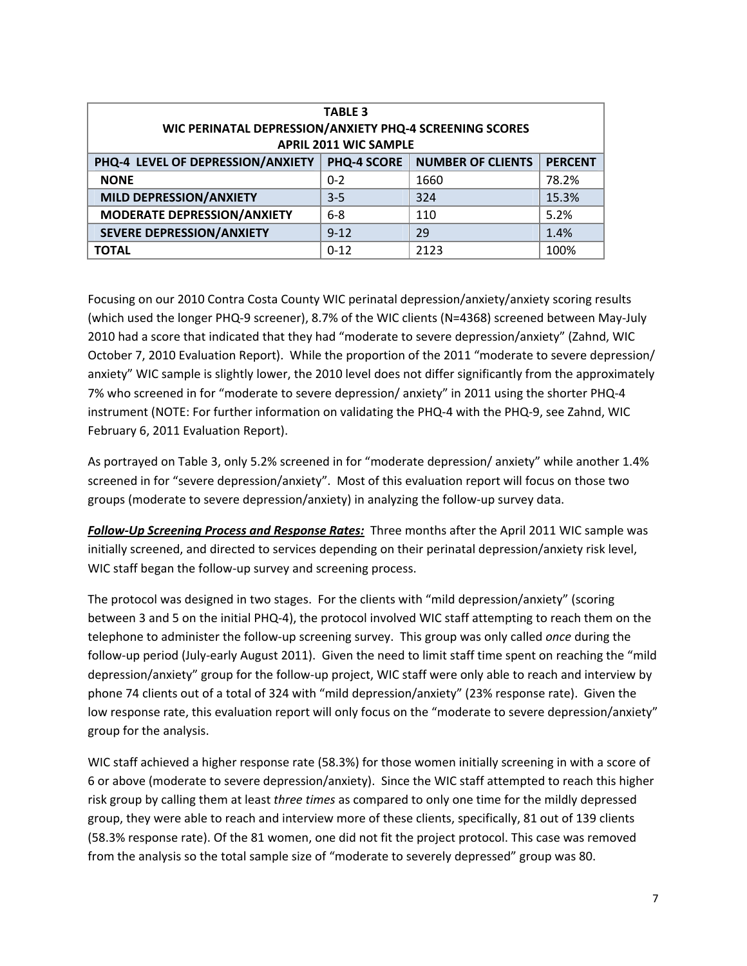| <b>TABLE 3</b><br>WIC PERINATAL DEPRESSION/ANXIETY PHQ-4 SCREENING SCORES<br><b>APRIL 2011 WIC SAMPLE</b> |                    |                          |                |  |  |
|-----------------------------------------------------------------------------------------------------------|--------------------|--------------------------|----------------|--|--|
| PHQ-4 LEVEL OF DEPRESSION/ANXIETY                                                                         | <b>PHQ-4 SCORE</b> | <b>NUMBER OF CLIENTS</b> | <b>PERCENT</b> |  |  |
| <b>NONE</b>                                                                                               | $0 - 2$            | 1660                     | 78.2%          |  |  |
| <b>MILD DEPRESSION/ANXIETY</b>                                                                            | $3 - 5$            | 324                      | 15.3%          |  |  |
| MODERATE DEPRESSION/ANXIETY                                                                               | $6 - 8$            | 110                      | 5.2%           |  |  |
| <b>SEVERE DEPRESSION/ANXIETY</b>                                                                          | $9 - 12$           | 29                       | 1.4%           |  |  |
| <b>TOTAL</b>                                                                                              | $0 - 12$           | 2123                     | 100%           |  |  |

Focusing on our 2010 Contra Costa County WIC perinatal depression/anxiety/anxiety scoring results (which used the longer PHQ‐9 screener), 8.7% of the WIC clients (N=4368) screened between May‐July 2010 had a score that indicated that they had "moderate to severe depression/anxiety" (Zahnd, WIC October 7, 2010 Evaluation Report). While the proportion of the 2011 "moderate to severe depression/ anxiety" WIC sample is slightly lower, the 2010 level does not differ significantly from the approximately 7% who screened in for "moderate to severe depression/ anxiety" in 2011 using the shorter PHQ‐4 instrument (NOTE: For further information on validating the PHQ‐4 with the PHQ‐9, see Zahnd, WIC February 6, 2011 Evaluation Report).

As portrayed on Table 3, only 5.2% screened in for "moderate depression/ anxiety" while another 1.4% screened in for "severe depression/anxiety". Most of this evaluation report will focus on those two groups (moderate to severe depression/anxiety) in analyzing the follow‐up survey data.

*Follow‐Up Screening Process and Response Rates:* Three months after the April 2011 WIC sample was initially screened, and directed to services depending on their perinatal depression/anxiety risk level, WIC staff began the follow-up survey and screening process.

The protocol was designed in two stages. For the clients with "mild depression/anxiety" (scoring between 3 and 5 on the initial PHQ‐4), the protocol involved WIC staff attempting to reach them on the telephone to administer the follow‐up screening survey. This group was only called *once* during the follow‐up period (July‐early August 2011). Given the need to limit staff time spent on reaching the "mild depression/anxiety" group for the follow‐up project, WIC staff were only able to reach and interview by phone 74 clients out of a total of 324 with "mild depression/anxiety" (23% response rate). Given the low response rate, this evaluation report will only focus on the "moderate to severe depression/anxiety" group for the analysis.

WIC staff achieved a higher response rate (58.3%) for those women initially screening in with a score of 6 or above (moderate to severe depression/anxiety). Since the WIC staff attempted to reach this higher risk group by calling them at least *three times* as compared to only one time for the mildly depressed group, they were able to reach and interview more of these clients, specifically, 81 out of 139 clients (58.3% response rate). Of the 81 women, one did not fit the project protocol. This case was removed from the analysis so the total sample size of "moderate to severely depressed" group was 80.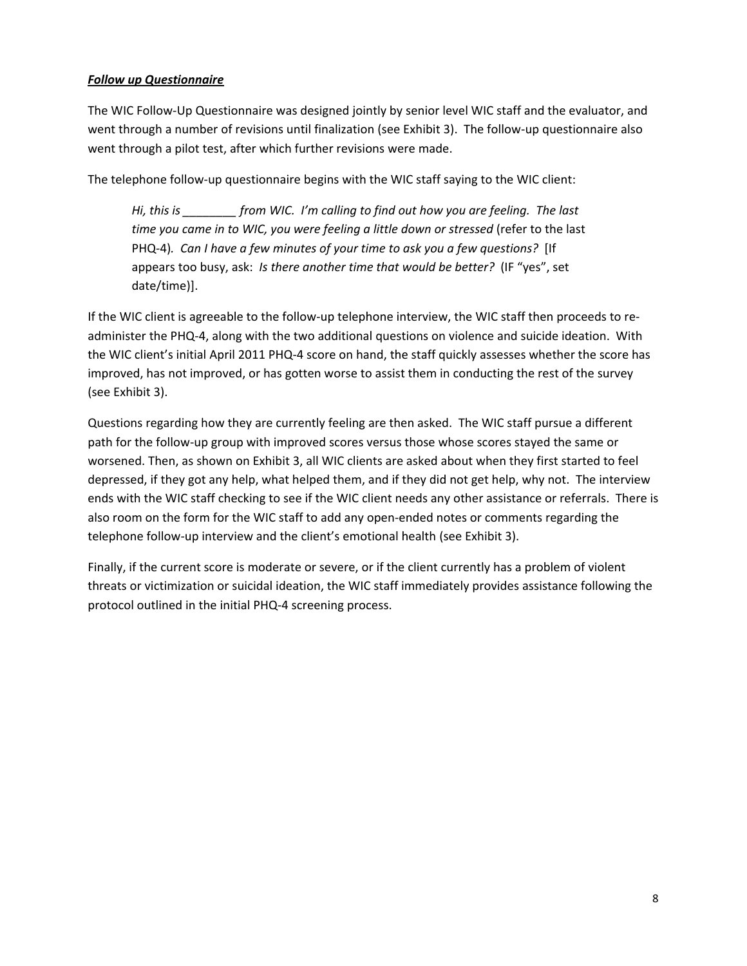## *Follow up Questionnaire*

The WIC Follow‐Up Questionnaire was designed jointly by senior level WIC staff and the evaluator, and went through a number of revisions until finalization (see Exhibit 3). The follow-up questionnaire also went through a pilot test, after which further revisions were made.

The telephone follow-up questionnaire begins with the WIC staff saying to the WIC client:

*Hi, this is \_\_\_\_\_\_\_\_ from WIC. I'm calling to find out how you are feeling. The last time you came in to WIC, you were feeling a little down or stressed* (refer to the last PHQ‐4)*. Can I have a few minutes of your time to ask you a few questions?* [If appears too busy, ask: *Is there another time that would be better?* (IF "yes", set date/time)].

If the WIC client is agreeable to the follow‐up telephone interview, the WIC staff then proceeds to re‐ administer the PHQ‐4, along with the two additional questions on violence and suicide ideation. With the WIC client's initial April 2011 PHQ-4 score on hand, the staff quickly assesses whether the score has improved, has not improved, or has gotten worse to assist them in conducting the rest of the survey (see Exhibit 3).

Questions regarding how they are currently feeling are then asked. The WIC staff pursue a different path for the follow-up group with improved scores versus those whose scores stayed the same or worsened. Then, as shown on Exhibit 3, all WIC clients are asked about when they first started to feel depressed, if they got any help, what helped them, and if they did not get help, why not. The interview ends with the WIC staff checking to see if the WIC client needs any other assistance or referrals. There is also room on the form for the WIC staff to add any open‐ended notes or comments regarding the telephone follow-up interview and the client's emotional health (see Exhibit 3).

Finally, if the current score is moderate or severe, or if the client currently has a problem of violent threats or victimization or suicidal ideation, the WIC staff immediately provides assistance following the protocol outlined in the initial PHQ‐4 screening process.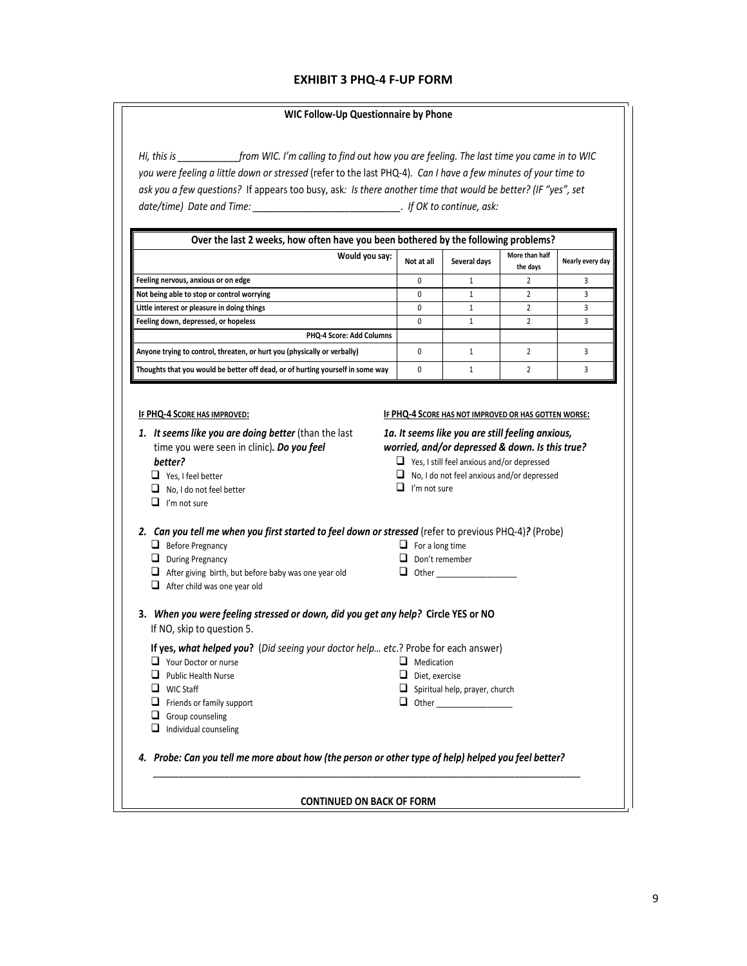#### **EXHIBIT 3 PHQ‐4 F‐UP FORM**

#### **WIC Follow‐Up Questionnaire by Phone**

Hi, this is from WIC. I'm calling to find out how you are feeling. The last time you came in to WIC you were feeling a little down or stressed (refer to the last PHQ-4). Can I have a few minutes of your time to ask you a few questions? If appears too busy, ask: Is there another time that would be better? (IF "yes", set *date/time) Date and Time: \_\_\_\_\_\_\_\_\_\_\_\_\_\_\_\_\_\_\_\_\_\_\_\_\_\_\_\_\_. If OK to continue, ask:*

| Over the last 2 weeks, how often have you been bothered by the following problems? |              |              |                            |                  |  |
|------------------------------------------------------------------------------------|--------------|--------------|----------------------------|------------------|--|
| Would you say:                                                                     | Not at all   | Several days | More than half<br>the days | Nearly every day |  |
| Feeling nervous, anxious or on edge                                                | <sup>0</sup> |              |                            |                  |  |
| Not being able to stop or control worrying                                         | 0            |              |                            |                  |  |
| Little interest or pleasure in doing things                                        | $\Omega$     |              |                            |                  |  |
| Feeling down, depressed, or hopeless                                               | $\Omega$     |              |                            |                  |  |
| <b>PHQ-4 Score: Add Columns</b>                                                    |              |              |                            |                  |  |
| Anyone trying to control, threaten, or hurt you (physically or verbally)           |              |              |                            |                  |  |
| Thoughts that you would be better off dead, or of hurting yourself in some way     | $\Omega$     |              |                            |                  |  |

#### **IF PHQ‐4 SCORE HAS IMPROVED:**

#### **IF PHQ‐4 SCORE HAS NOT IMPROVED OR HAS GOTTEN WORSE:**

*1. It seems like you are doing better* (than the last time you were seen in clinic)*. Do you feel better?* 

- Yes, I feel better
- No, I do not feel better
- $\Box$  I'm not sure

- $\Box$  Before Pregnancy
- $\Box$  During Pregnancy

**Q** Your Doctor or nurse **Q** Public Health Nurse **Q** WIC Staff

 $\Box$  Friends or family support  $\Box$  Group counseling  $\Box$  Individual counseling

- $\Box$  After giving birth, but before baby was one year old
- $\Box$  After child was one year old
- *1a. It seems like you are still feeling anxious, worried, and/or depressed & down. Is this true?*
	- Yes, I still feel anxious and/or depressed
	- No, I do not feel anxious and/or depressed
	- $\Box$  I'm not sure

| 2. Can you tell me when you first started to feel down or stressed (refer to previous PHQ-4)? (Probe) |                        |  |
|-------------------------------------------------------------------------------------------------------|------------------------|--|
| $\Box$ Before Pregnancy                                                                               | $\Box$ For a long time |  |

- 
- 
- 
- 
- Don't remember
- $\Box$  Other
- **3.** *When you were feeling stressed or down, did you get any help?* **Circle YES or NO**  If NO, skip to question 5.

**If yes,** *what helped you***?** (*Did seeing your doctor help… etc*.? Probe for each answer)

- **O** Medication
- D Diet, exercise
- $\Box$  Spiritual help, prayer, church
- Other \_\_\_\_\_\_\_\_\_\_\_\_\_\_\_\_\_\_

4. Probe: Can you tell me more about how (the person or other type of help) helped you feel better?

#### **CONTINUED ON BACK OF FORM**

*\_\_\_\_\_\_\_\_\_\_\_\_\_\_\_\_\_\_\_\_\_\_\_\_\_\_\_\_\_\_\_\_\_\_\_\_\_\_\_\_\_\_\_\_\_\_\_\_\_\_\_\_\_\_\_\_\_\_\_\_\_\_\_\_\_\_\_\_\_\_\_\_\_\_\_\_\_\_\_\_\_\_\_\_*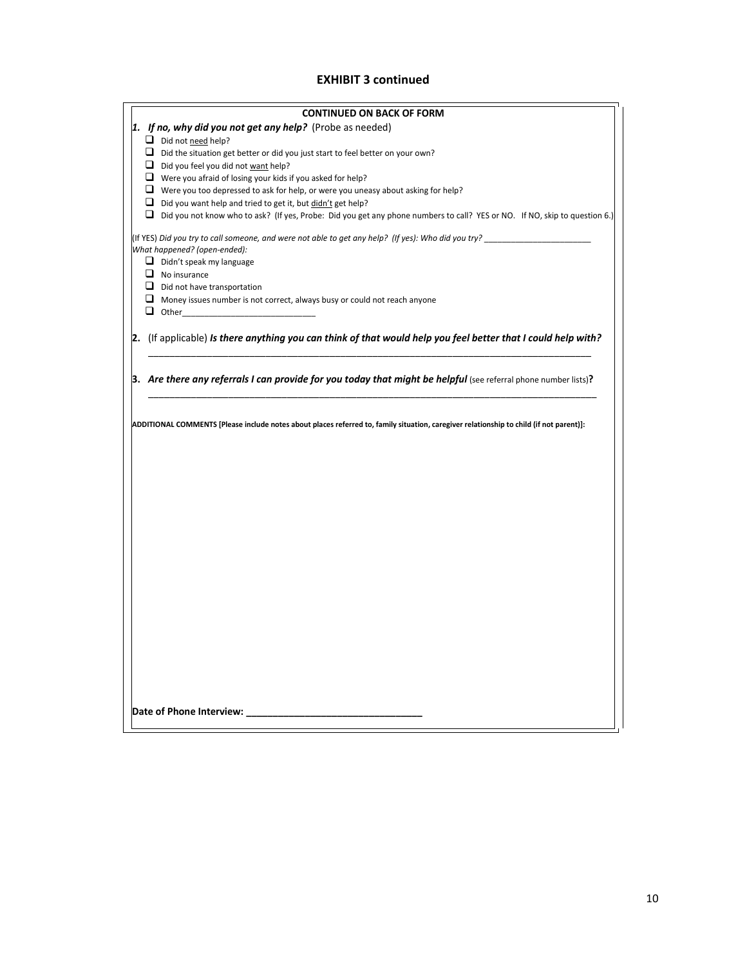#### **EXHIBIT 3 continued**

| <b>CONTINUED ON BACK OF FORM</b>                                                                                                                                                                        |
|---------------------------------------------------------------------------------------------------------------------------------------------------------------------------------------------------------|
| 1. If no, why did you not get any help? (Probe as needed)                                                                                                                                               |
| Did not need help?                                                                                                                                                                                      |
| $\Box$ Did the situation get better or did you just start to feel better on your own?                                                                                                                   |
| $\Box$ Did you feel you did not want help?                                                                                                                                                              |
| $\Box$ Were you afraid of losing your kids if you asked for help?                                                                                                                                       |
| $\Box$ Were you too depressed to ask for help, or were you uneasy about asking for help?                                                                                                                |
| $\Box$ Did you want help and tried to get it, but didn't get help?<br>$\Box$ Did you not know who to ask? (If yes, Probe: Did you get any phone numbers to call? YES or NO. If NO, skip to question 6.) |
|                                                                                                                                                                                                         |
| (If YES) Did you try to call someone, and were not able to get any help? (If yes): Who did you try? _________________<br>What happened? (open-ended):                                                   |
| $\Box$ Didn't speak my language                                                                                                                                                                         |
| $\Box$ No insurance                                                                                                                                                                                     |
| $\Box$ Did not have transportation                                                                                                                                                                      |
| $\Box$ Money issues number is not correct, always busy or could not reach anyone                                                                                                                        |
| $\Box$ Other                                                                                                                                                                                            |
|                                                                                                                                                                                                         |
| 2. (If applicable) Is there anything you can think of that would help you feel better that I could help with?                                                                                           |
|                                                                                                                                                                                                         |
|                                                                                                                                                                                                         |
| 3. Are there any referrals I can provide for you today that might be helpful (see referral phone number lists)?                                                                                         |
|                                                                                                                                                                                                         |
| ADDITIONAL COMMENTS [Please include notes about places referred to, family situation, caregiver relationship to child (if not parent)]:                                                                 |
|                                                                                                                                                                                                         |
|                                                                                                                                                                                                         |
|                                                                                                                                                                                                         |
|                                                                                                                                                                                                         |
|                                                                                                                                                                                                         |
|                                                                                                                                                                                                         |
|                                                                                                                                                                                                         |
|                                                                                                                                                                                                         |
|                                                                                                                                                                                                         |
|                                                                                                                                                                                                         |
|                                                                                                                                                                                                         |
|                                                                                                                                                                                                         |
|                                                                                                                                                                                                         |
|                                                                                                                                                                                                         |
|                                                                                                                                                                                                         |
|                                                                                                                                                                                                         |
|                                                                                                                                                                                                         |
|                                                                                                                                                                                                         |
|                                                                                                                                                                                                         |
|                                                                                                                                                                                                         |
|                                                                                                                                                                                                         |
|                                                                                                                                                                                                         |
| Date of Phone Interview:                                                                                                                                                                                |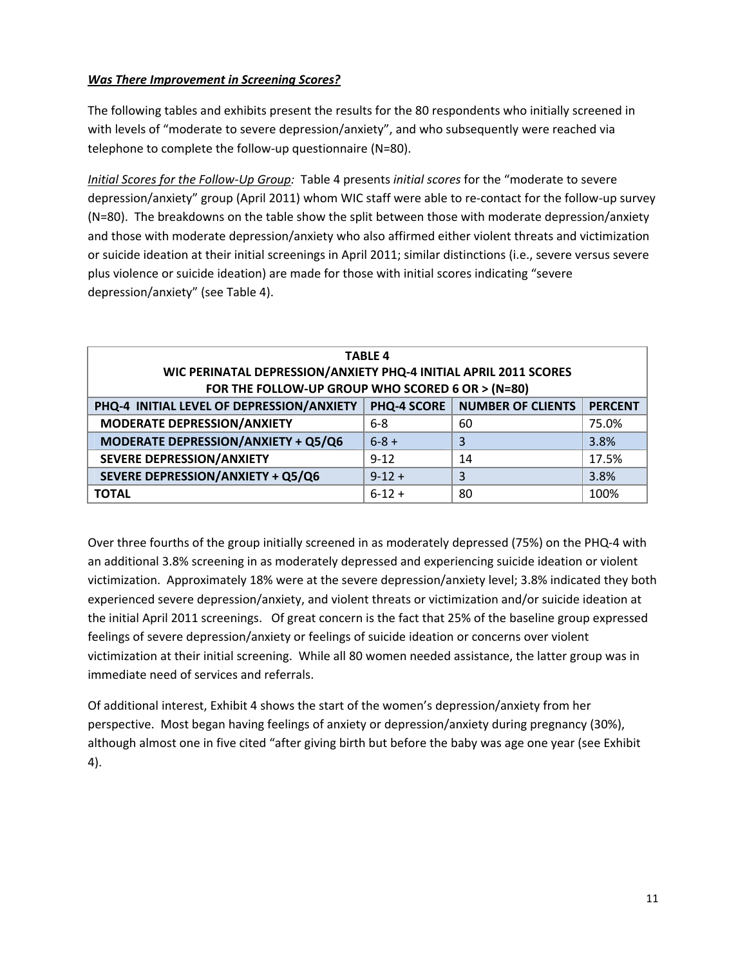## *Was There Improvement in Screening Scores?*

The following tables and exhibits present the results for the 80 respondents who initially screened in with levels of "moderate to severe depression/anxiety", and who subsequently were reached via telephone to complete the follow-up questionnaire (N=80).

*Initial Scores for the Follow‐Up Group:* Table 4 presents *initial scores* for the "moderate to severe depression/anxiety" group (April 2011) whom WIC staff were able to re‐contact for the follow‐up survey (N=80). The breakdowns on the table show the split between those with moderate depression/anxiety and those with moderate depression/anxiety who also affirmed either violent threats and victimization or suicide ideation at their initial screenings in April 2011; similar distinctions (i.e., severe versus severe plus violence or suicide ideation) are made for those with initial scores indicating "severe depression/anxiety" (see Table 4).

| <b>TABLE 4</b>                                                   |                    |                          |                |  |  |  |
|------------------------------------------------------------------|--------------------|--------------------------|----------------|--|--|--|
| WIC PERINATAL DEPRESSION/ANXIETY PHQ-4 INITIAL APRIL 2011 SCORES |                    |                          |                |  |  |  |
| FOR THE FOLLOW-UP GROUP WHO SCORED 6 OR > (N=80)                 |                    |                          |                |  |  |  |
| PHQ-4 INITIAL LEVEL OF DEPRESSION/ANXIETY                        | <b>PHQ-4 SCORE</b> | <b>NUMBER OF CLIENTS</b> | <b>PERCENT</b> |  |  |  |
| <b>MODERATE DEPRESSION/ANXIETY</b>                               | $6 - 8$            | 60                       | 75.0%          |  |  |  |
| MODERATE DEPRESSION/ANXIETY + Q5/Q6                              | $6 - 8 +$          | 3                        | 3.8%           |  |  |  |
| SEVERE DEPRESSION/ANXIETY                                        | $9 - 12$           | 14                       | 17.5%          |  |  |  |
| SEVERE DEPRESSION/ANXIETY + Q5/Q6                                | $9-12+$            | 3                        | 3.8%           |  |  |  |
| <b>TOTAL</b>                                                     | $6-12+$            | 80                       | 100%           |  |  |  |

Over three fourths of the group initially screened in as moderately depressed (75%) on the PHQ‐4 with an additional 3.8% screening in as moderately depressed and experiencing suicide ideation or violent victimization. Approximately 18% were at the severe depression/anxiety level; 3.8% indicated they both experienced severe depression/anxiety, and violent threats or victimization and/or suicide ideation at the initial April 2011 screenings. Of great concern is the fact that 25% of the baseline group expressed feelings of severe depression/anxiety or feelings of suicide ideation or concerns over violent victimization at their initial screening. While all 80 women needed assistance, the latter group was in immediate need of services and referrals.

Of additional interest, Exhibit 4 shows the start of the women's depression/anxiety from her perspective. Most began having feelings of anxiety or depression/anxiety during pregnancy (30%), although almost one in five cited "after giving birth but before the baby was age one year (see Exhibit 4).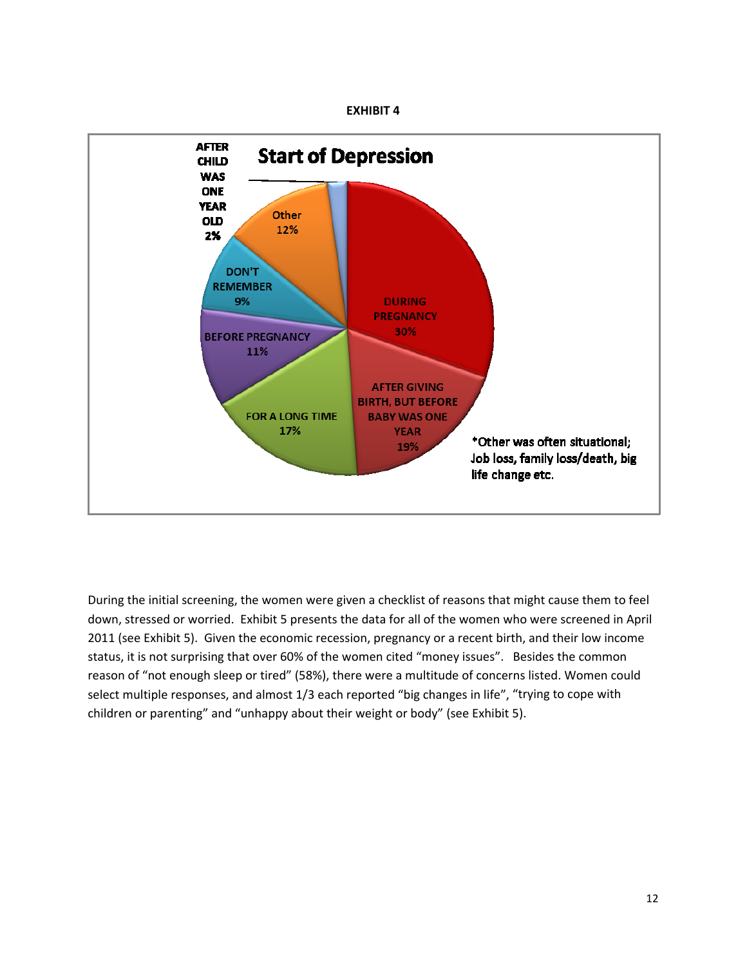



During the initial screening, the women were given a checklist of reasons that might cause them to feel down, stressed or worried. Exhibit 5 presents the data for all of the women who were screened in April 2011 (see Exhibit 5). Given the economic recession, pregnancy or a recent birth, and their low income status, it is not surprising that over 60% of the women cited "money issues". Besides the common reason of "not enough sleep or tired" (58%), there were a multitude of concerns listed. Women could select multiple responses, and almost 1/3 each reported "big changes in life", "trying to cope with children or parenting" and "unhappy about their weight or body" (see Exhibit 5).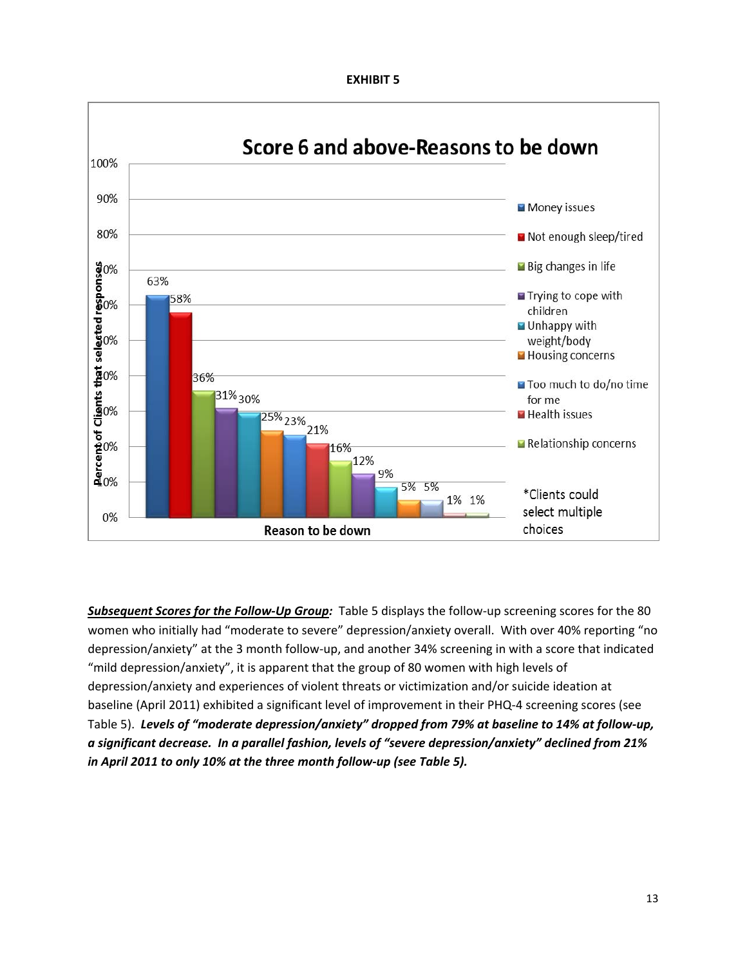**EXHIBIT 5**



*Subsequent Scores for the Follow‐Up Group:* Table 5 displays the follow‐up screening scores for the 80 women who initially had "moderate to severe" depression/anxiety overall. With over 40% reporting "no depression/anxiety" at the 3 month follow‐up, and another 34% screening in with a score that indicated "mild depression/anxiety", it is apparent that the group of 80 women with high levels of depression/anxiety and experiences of violent threats or victimization and/or suicide ideation at baseline (April 2011) exhibited a significant level of improvement in their PHQ‐4 screening scores (see Table 5). *Levels of "moderate depression/anxiety" dropped from 79% at baseline to 14% at follow‐up, a significant decrease. In a parallel fashion, levels of "severe depression/anxiety" declined from 21% in April 2011 to only 10% at the three month follow‐up (see Table 5).*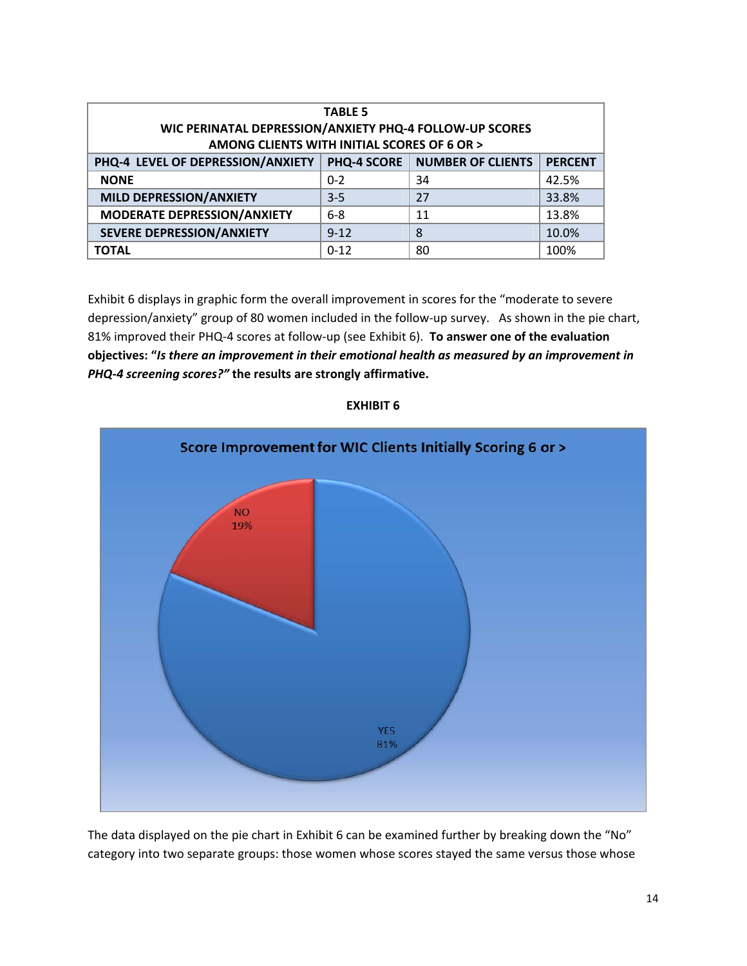| <b>TABLE 5</b><br>WIC PERINATAL DEPRESSION/ANXIETY PHQ-4 FOLLOW-UP SCORES<br>AMONG CLIENTS WITH INITIAL SCORES OF 6 OR > |             |                          |                |  |  |
|--------------------------------------------------------------------------------------------------------------------------|-------------|--------------------------|----------------|--|--|
| PHQ-4 LEVEL OF DEPRESSION/ANXIETY                                                                                        | PHQ-4 SCORE | <b>NUMBER OF CLIENTS</b> | <b>PERCENT</b> |  |  |
| <b>NONE</b>                                                                                                              | $0 - 2$     | 34                       | 42.5%          |  |  |
| MILD DEPRESSION/ANXIETY                                                                                                  | $3-5$       | 27                       | 33.8%          |  |  |
| MODERATE DEPRESSION/ANXIETY                                                                                              | $6 - 8$     | 11                       | 13.8%          |  |  |
| <b>SEVERE DEPRESSION/ANXIETY</b>                                                                                         | $9 - 12$    | 8                        | 10.0%          |  |  |
| TOTAL                                                                                                                    | $0 - 12$    | 80                       | 100%           |  |  |

Exhibit 6 displays in graphic form the overall improvement in scores for the "moderate to severe depression/anxiety" group of 80 women included in the follow-up survey. As shown in the pie chart, 81% improved their PHQ‐4 scores at follow‐up (see Exhibit 6). **To answer one of the evaluation objectives: "***Is there an improvement in their emotional health as measured by an improvement in PHQ‐4 screening scores?"* **the results are strongly affirmative.**



#### **EXHIBIT 6**

The data displayed on the pie chart in Exhibit 6 can be examined further by breaking down the "No" category into two separate groups: those women whose scores stayed the same versus those whose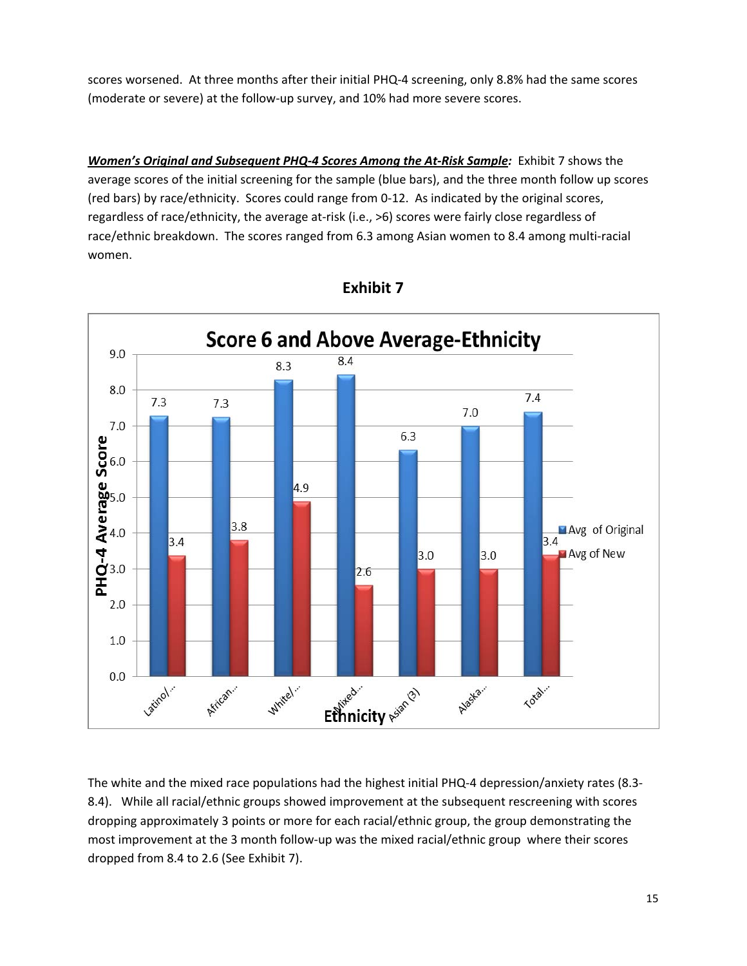scores worsened. At three months after their initial PHQ‐4 screening, only 8.8% had the same scores (moderate or severe) at the follow‐up survey, and 10% had more severe scores.

*Women's Original and Subsequent PHQ‐4 Scores Among the At‐Risk Sample:* Exhibit 7 shows the average scores of the initial screening for the sample (blue bars), and the three month follow up scores (red bars) by race/ethnicity. Scores could range from 0‐12. As indicated by the original scores, regardless of race/ethnicity, the average at‐risk (i.e., >6) scores were fairly close regardless of race/ethnic breakdown. The scores ranged from 6.3 among Asian women to 8.4 among multi‐racial women.



**Exhibit 7**

The white and the mixed race populations had the highest initial PHQ‐4 depression/anxiety rates (8.3‐ 8.4). While all racial/ethnic groups showed improvement at the subsequent rescreening with scores dropping approximately 3 points or more for each racial/ethnic group, the group demonstrating the most improvement at the 3 month follow-up was the mixed racial/ethnic group where their scores dropped from 8.4 to 2.6 (See Exhibit 7).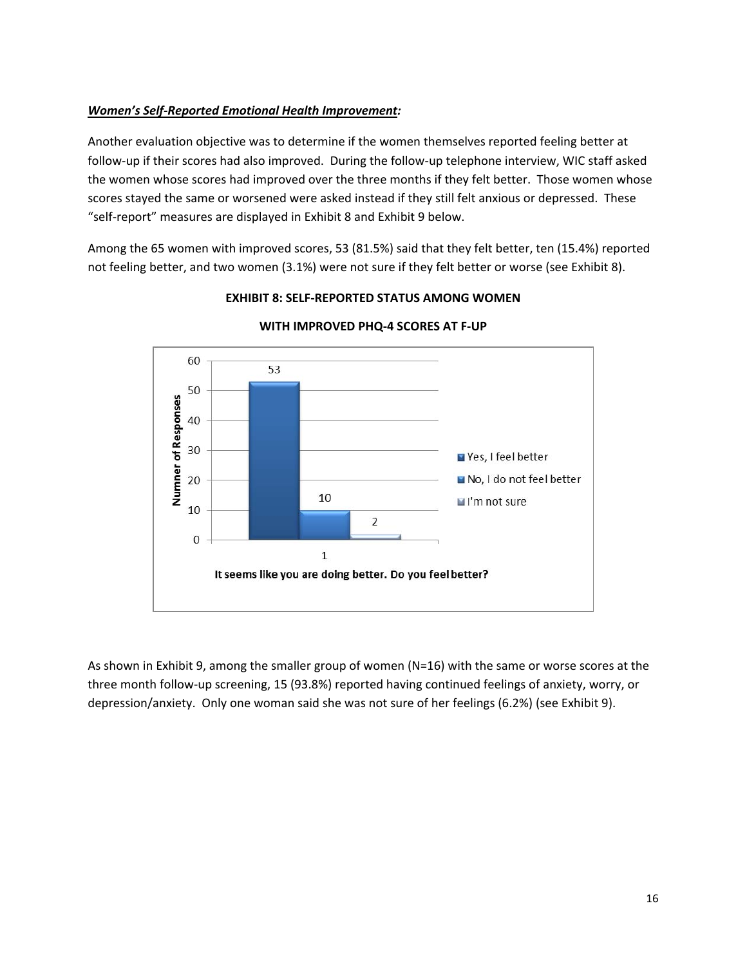## *Women's Self‐Reported Emotional Health Improvement:*

Another evaluation objective was to determine if the women themselves reported feeling better at follow‐up if their scores had also improved. During the follow‐up telephone interview, WIC staff asked the women whose scores had improved over the three months if they felt better. Those women whose scores stayed the same or worsened were asked instead if they still felt anxious or depressed. These "self‐report" measures are displayed in Exhibit 8 and Exhibit 9 below.

Among the 65 women with improved scores, 53 (81.5%) said that they felt better, ten (15.4%) reported not feeling better, and two women (3.1%) were not sure if they felt better or worse (see Exhibit 8).



## **EXHIBIT 8: SELF‐REPORTED STATUS AMONG WOMEN**

**WITH IMPROVED PHQ‐4 SCORES AT F‐UP**

As shown in Exhibit 9, among the smaller group of women (N=16) with the same or worse scores at the three month follow‐up screening, 15 (93.8%) reported having continued feelings of anxiety, worry, or depression/anxiety. Only one woman said she was not sure of her feelings (6.2%) (see Exhibit 9).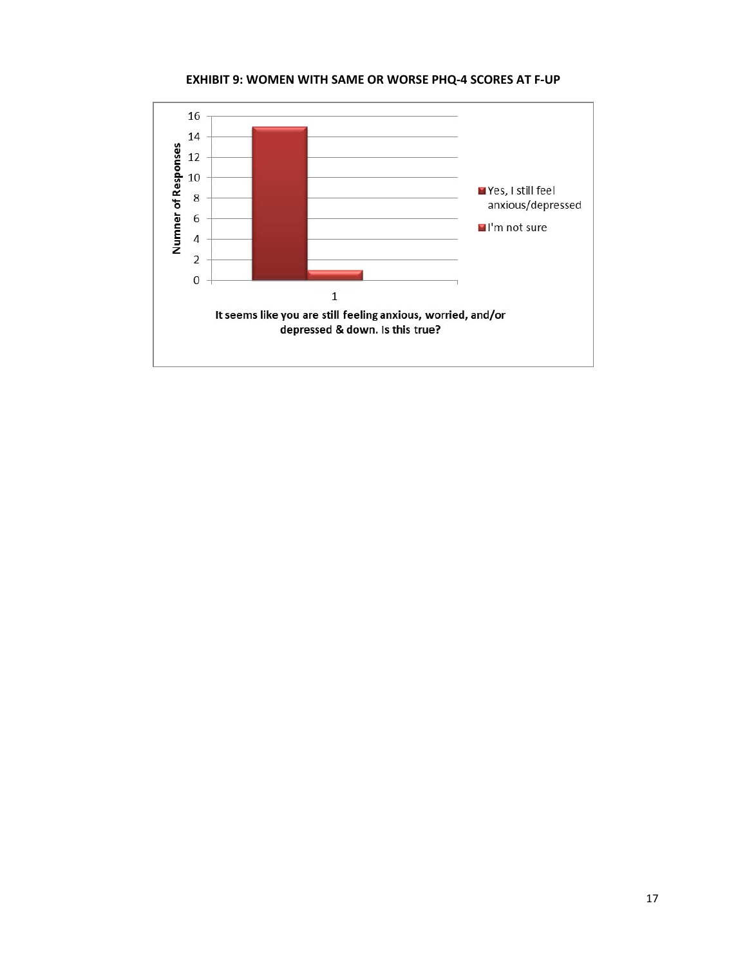**EXHIBIT 9: WOMEN WITH SAME OR WORSE PHQ‐4 SCORES AT F‐UP**

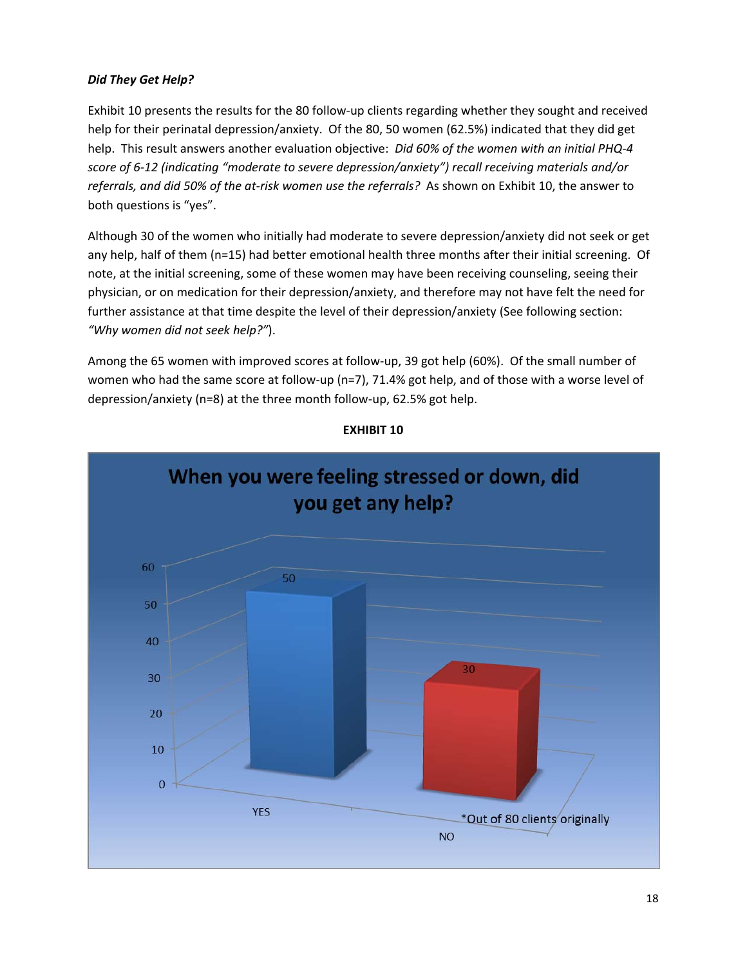## *Did They Get Help?*

Exhibit 10 presents the results for the 80 follow‐up clients regarding whether they sought and received help for their perinatal depression/anxiety. Of the 80, 50 women (62.5%) indicated that they did get help. This result answers another evaluation objective: *Did 60% of the women with an initial PHQ‐4 score of 6‐12 (indicating "moderate to severe depression/anxiety") recall receiving materials and/or referrals, and did 50% of the at‐risk women use the referrals?* As shown on Exhibit 10, the answer to both questions is "yes".

Although 30 of the women who initially had moderate to severe depression/anxiety did not seek or get any help, half of them (n=15) had better emotional health three months after their initial screening. Of note, at the initial screening, some of these women may have been receiving counseling, seeing their physician, or on medication for their depression/anxiety, and therefore may not have felt the need for further assistance at that time despite the level of their depression/anxiety (See following section: *"Why women did not seek help?"*).

Among the 65 women with improved scores at follow‐up, 39 got help (60%). Of the small number of women who had the same score at follow-up (n=7), 71.4% got help, and of those with a worse level of depression/anxiety (n=8) at the three month follow‐up, 62.5% got help.



## **EXHIBIT 10**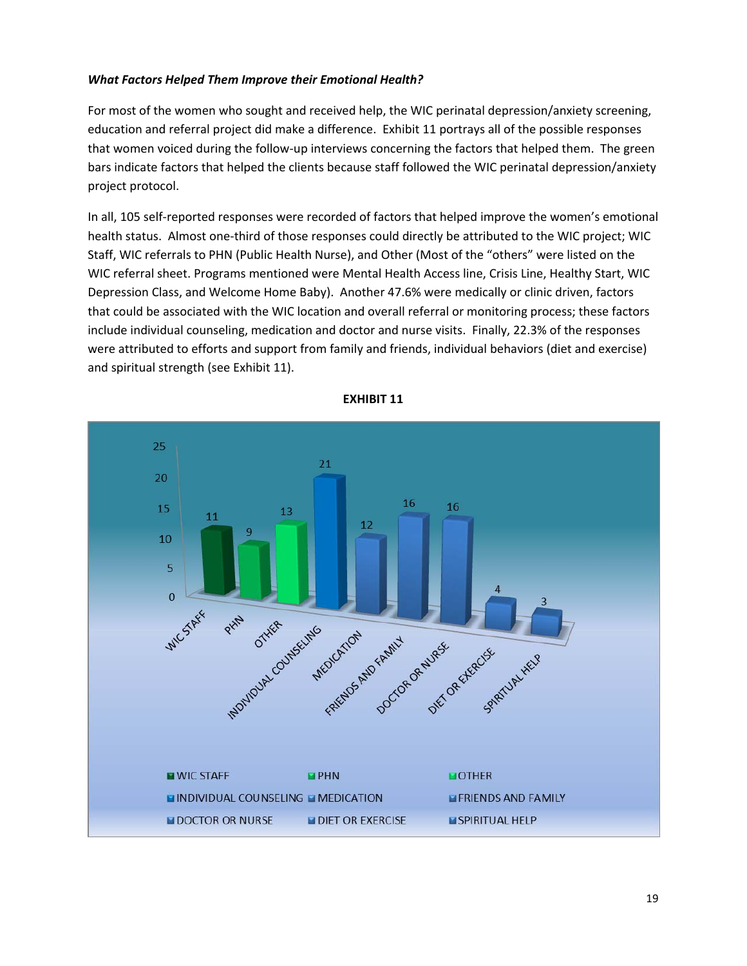#### *What Factors Helped Them Improve their Emotional Health?*

For most of the women who sought and received help, the WIC perinatal depression/anxiety screening, education and referral project did make a difference. Exhibit 11 portrays all of the possible responses that women voiced during the follow‐up interviews concerning the factors that helped them. The green bars indicate factors that helped the clients because staff followed the WIC perinatal depression/anxiety project protocol.

In all, 105 self-reported responses were recorded of factors that helped improve the women's emotional health status. Almost one‐third of those responses could directly be attributed to the WIC project; WIC Staff, WIC referrals to PHN (Public Health Nurse), and Other (Most of the "others" were listed on the WIC referral sheet. Programs mentioned were Mental Health Access line, Crisis Line, Healthy Start, WIC Depression Class, and Welcome Home Baby). Another 47.6% were medically or clinic driven, factors that could be associated with the WIC location and overall referral or monitoring process; these factors include individual counseling, medication and doctor and nurse visits. Finally, 22.3% of the responses were attributed to efforts and support from family and friends, individual behaviors (diet and exercise) and spiritual strength (see Exhibit 11).



**EXHIBIT 11**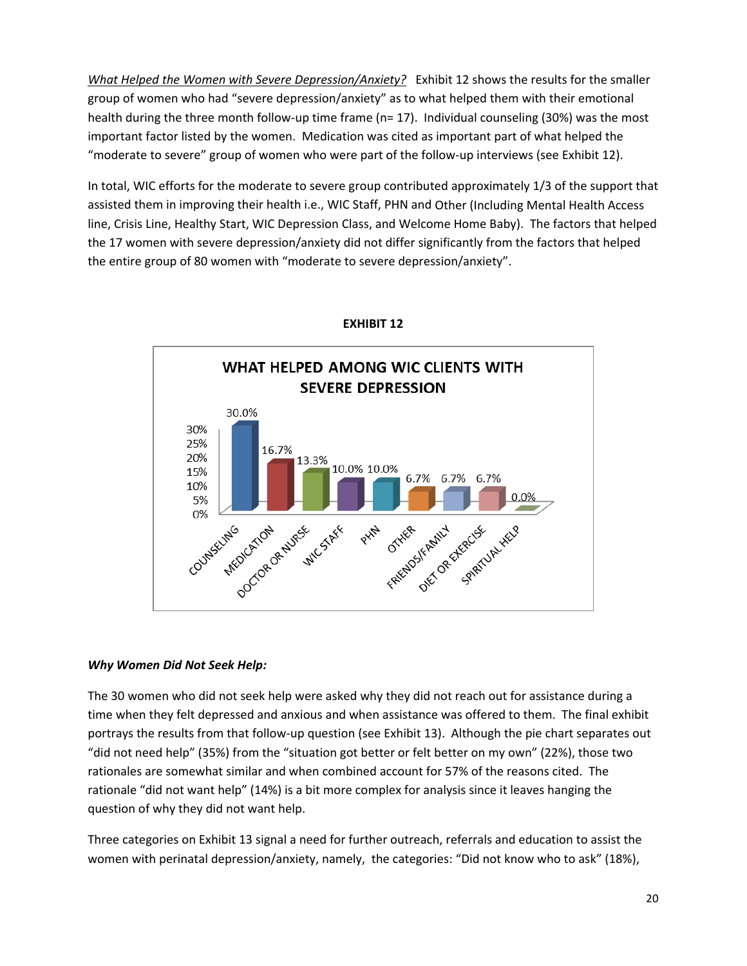*What Helped the Women with Severe Depression/Anxiety?* Exhibit 12 shows the results for the smaller group of women who had "severe depression/anxiety" as to what helped them with their emotional health during the three month follow-up time frame (n= 17). Individual counseling (30%) was the most important factor listed by the women. Medication was cited as important part of what helped the "moderate to severe" group of women who were part of the follow‐up interviews (see Exhibit 12).

In total, WIC efforts for the moderate to severe group contributed approximately 1/3 of the support that assisted them in improving their health i.e., WIC Staff, PHN and Other (Including Mental Health Access line, Crisis Line, Healthy Start, WIC Depression Class, and Welcome Home Baby). The factors that helped the 17 women with severe depression/anxiety did not differ significantly from the factors that helped the entire group of 80 women with "moderate to severe depression/anxiety".



**EXHIBIT 12**

## *Why Women Did Not Seek Help:*

The 30 women who did not seek help were asked why they did not reach out for assistance during a time when they felt depressed and anxious and when assistance was offered to them. The final exhibit portrays the results from that follow‐up question (see Exhibit 13). Although the pie chart separates out "did not need help" (35%) from the "situation got better or felt better on my own" (22%), those two rationales are somewhat similar and when combined account for 57% of the reasons cited. The rationale "did not want help" (14%) is a bit more complex for analysis since it leaves hanging the question of why they did not want help.

Three categories on Exhibit 13 signal a need for further outreach, referrals and education to assist the women with perinatal depression/anxiety, namely, the categories: "Did not know who to ask" (18%),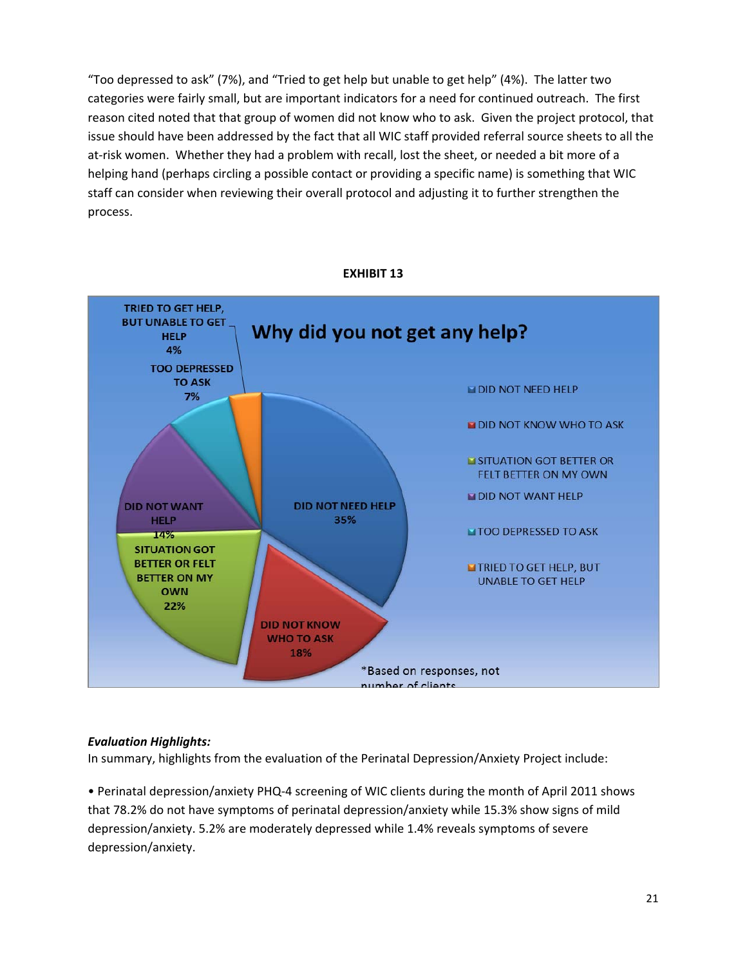"Too depressed to ask" (7%), and "Tried to get help but unable to get help" (4%). The latter two categories were fairly small, but are important indicators for a need for continued outreach. The first reason cited noted that that group of women did not know who to ask. Given the project protocol, that issue should have been addressed by the fact that all WIC staff provided referral source sheets to all the at-risk women. Whether they had a problem with recall, lost the sheet, or needed a bit more of a helping hand (perhaps circling a possible contact or providing a specific name) is something that WIC staff can consider when reviewing their overall protocol and adjusting it to further strengthen the process.



## *Evaluation Highlights:*

In summary, highlights from the evaluation of the Perinatal Depression/Anxiety Project include:

• Perinatal depression/anxiety PHQ‐4 screening of WIC clients during the month of April 2011 shows that 78.2% do not have symptoms of perinatal depression/anxiety while 15.3% show signs of mild depression/anxiety. 5.2% are moderately depressed while 1.4% reveals symptoms of severe depression/anxiety.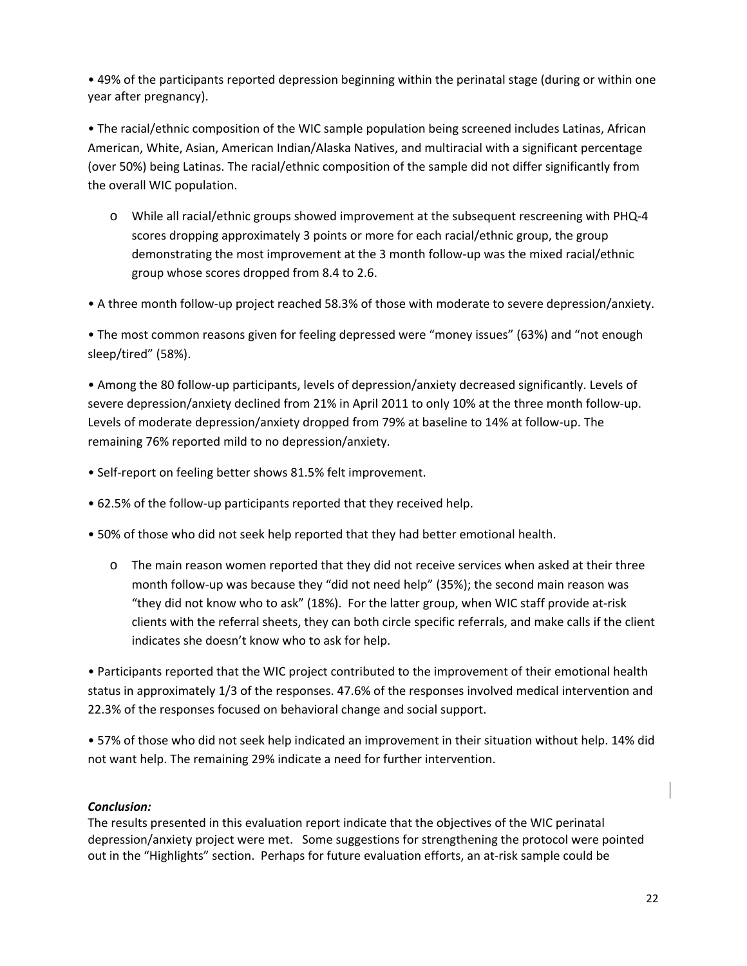• 49% of the participants reported depression beginning within the perinatal stage (during or within one year after pregnancy).

• The racial/ethnic composition of the WIC sample population being screened includes Latinas, African American, White, Asian, American Indian/Alaska Natives, and multiracial with a significant percentage (over 50%) being Latinas. The racial/ethnic composition of the sample did not differ significantly from the overall WIC population.

o While all racial/ethnic groups showed improvement at the subsequent rescreening with PHQ‐4 scores dropping approximately 3 points or more for each racial/ethnic group, the group demonstrating the most improvement at the 3 month follow‐up was the mixed racial/ethnic group whose scores dropped from 8.4 to 2.6.

• A three month follow‐up project reached 58.3% of those with moderate to severe depression/anxiety.

• The most common reasons given for feeling depressed were "money issues" (63%) and "not enough sleep/tired" (58%).

• Among the 80 follow‐up participants, levels of depression/anxiety decreased significantly. Levels of severe depression/anxiety declined from 21% in April 2011 to only 10% at the three month follow-up. Levels of moderate depression/anxiety dropped from 79% at baseline to 14% at follow‐up. The remaining 76% reported mild to no depression/anxiety.

- Self-report on feeling better shows 81.5% felt improvement.
- 62.5% of the follow‐up participants reported that they received help.
- 50% of those who did not seek help reported that they had better emotional health.
	- o The main reason women reported that they did not receive services when asked at their three month follow-up was because they "did not need help" (35%); the second main reason was "they did not know who to ask" (18%). For the latter group, when WIC staff provide at‐risk clients with the referral sheets, they can both circle specific referrals, and make calls if the client indicates she doesn't know who to ask for help.

• Participants reported that the WIC project contributed to the improvement of their emotional health status in approximately 1/3 of the responses. 47.6% of the responses involved medical intervention and 22.3% of the responses focused on behavioral change and social support.

• 57% of those who did not seek help indicated an improvement in their situation without help. 14% did not want help. The remaining 29% indicate a need for further intervention.

#### *Conclusion:*

The results presented in this evaluation report indicate that the objectives of the WIC perinatal depression/anxiety project were met. Some suggestions for strengthening the protocol were pointed out in the "Highlights" section. Perhaps for future evaluation efforts, an at‐risk sample could be